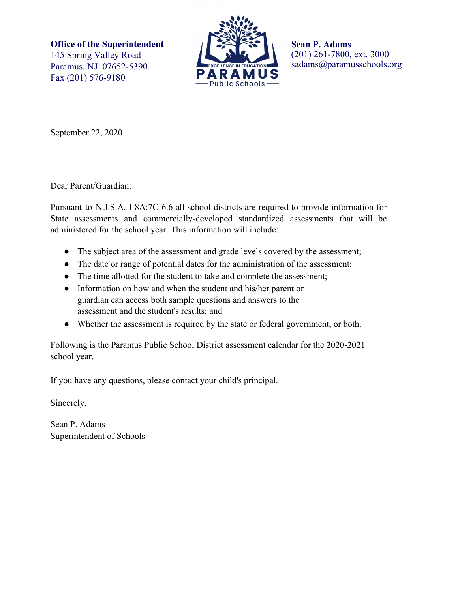**Office of the Superintendent** 145 Spring Valley Road Paramus, NJ 07652-5390 Fax (201) 576-9180



**Sean P. Adams** (201) 261-7800, ext. 3000 sadams@paramusschools.org

September 22, 2020

Dear Parent/Guardian:

Pursuant to N.J.S.A. l 8A:7C-6.6 all school districts are required to provide information for State assessments and commercially-developed standardized assessments that will be administered for the school year. This information will include:

- The subject area of the assessment and grade levels covered by the assessment;
- The date or range of potential dates for the administration of the assessment;
- The time allotted for the student to take and complete the assessment;
- Information on how and when the student and his/her parent or guardian can access both sample questions and answers to the assessment and the student's results; and
- Whether the assessment is required by the state or federal government, or both.

Following is the Paramus Public School District assessment calendar for the 2020-2021 school year.

If you have any questions, please contact your child's principal.

Sincerely,

Sean P. Adams Superintendent of Schools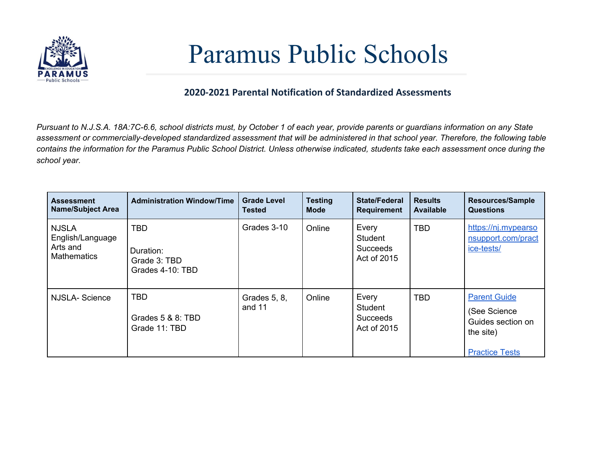

## Paramus Public Schools

## **2020-2021 Parental Notification of Standardized Assessments**

Pursuant to N.J.S.A. 18A:7C-6.6, school districts must, by October 1 of each year, provide parents or guardians information on any State assessment or commercially-developed standardized assessment that will be administered in that school year. Therefore, the following table contains the information for the Paramus Public School District. Unless otherwise indicated, students take each assessment once during the *school year.*

| <b>Assessment</b><br><b>Name/Subject Area</b>                      | <b>Administration Window/Time</b>                           | <b>Grade Level</b><br><b>Tested</b> | <b>Testing</b><br><b>Mode</b> | <b>State/Federal</b><br><b>Requirement</b>                | <b>Results</b><br><b>Available</b> | <b>Resources/Sample</b><br><b>Questions</b>                                                     |
|--------------------------------------------------------------------|-------------------------------------------------------------|-------------------------------------|-------------------------------|-----------------------------------------------------------|------------------------------------|-------------------------------------------------------------------------------------------------|
| <b>NJSLA</b><br>English/Language<br>Arts and<br><b>Mathematics</b> | <b>TBD</b><br>Duration:<br>Grade 3: TBD<br>Grades 4-10: TBD | Grades 3-10                         | Online                        | Every<br><b>Student</b><br><b>Succeeds</b><br>Act of 2015 | <b>TBD</b>                         | https://nj.mypearso<br>nsupport.com/pract<br>ice-tests/                                         |
| <b>NJSLA-Science</b>                                               | <b>TBD</b><br>Grades 5 & 8: TBD<br>Grade 11: TBD            | Grades 5, 8,<br>and 11              | Online                        | Every<br><b>Student</b><br><b>Succeeds</b><br>Act of 2015 | <b>TBD</b>                         | <b>Parent Guide</b><br>(See Science)<br>Guides section on<br>the site)<br><b>Practice Tests</b> |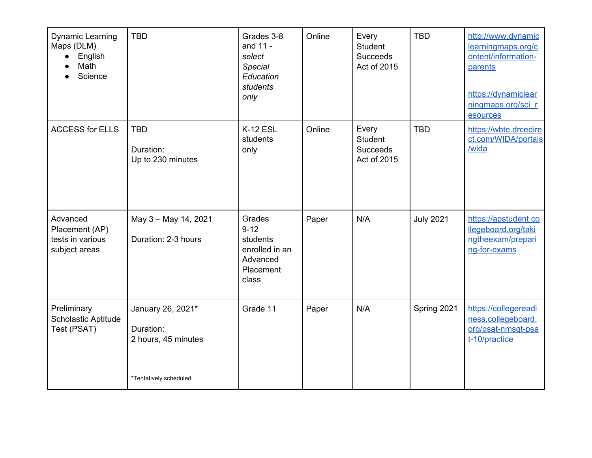| Dynamic Learning<br>Maps (DLM)<br>English<br>$\bullet$<br>Math<br>Science | <b>TBD</b>                                                                      | Grades 3-8<br>and 11 -<br>select<br>Special<br>Education<br>students<br>only       | Online | Every<br>Student<br><b>Succeeds</b><br>Act of 2015        | <b>TBD</b>       | http://www.dynamic<br>learningmaps.org/c<br>ontent/information-<br>parents<br>https://dynamiclear<br>ningmaps.org/sci_r<br>esources |
|---------------------------------------------------------------------------|---------------------------------------------------------------------------------|------------------------------------------------------------------------------------|--------|-----------------------------------------------------------|------------------|-------------------------------------------------------------------------------------------------------------------------------------|
| <b>ACCESS for ELLS</b>                                                    | <b>TBD</b><br>Duration:<br>Up to 230 minutes                                    | <b>K-12 ESL</b><br>students<br>only                                                | Online | Every<br><b>Student</b><br><b>Succeeds</b><br>Act of 2015 | <b>TBD</b>       | https://wbte.drcedire<br>ct.com/WIDA/portals<br>/wida                                                                               |
| Advanced<br>Placement (AP)<br>tests in various<br>subject areas           | May 3 - May 14, 2021<br>Duration: 2-3 hours                                     | Grades<br>$9 - 12$<br>students<br>enrolled in an<br>Advanced<br>Placement<br>class | Paper  | N/A                                                       | <b>July 2021</b> | https://apstudent.co<br>llegeboard.org/taki<br>ngtheexam/prepari<br>ng-for-exams                                                    |
| Preliminary<br>Scholastic Aptitude<br>Test (PSAT)                         | January 26, 2021*<br>Duration:<br>2 hours, 45 minutes<br>*Tentatively scheduled | Grade 11                                                                           | Paper  | N/A                                                       | Spring 2021      | https://collegereadi<br>ness.collegeboard.<br>org/psat-nmsqt-psa<br>t-10/practice                                                   |